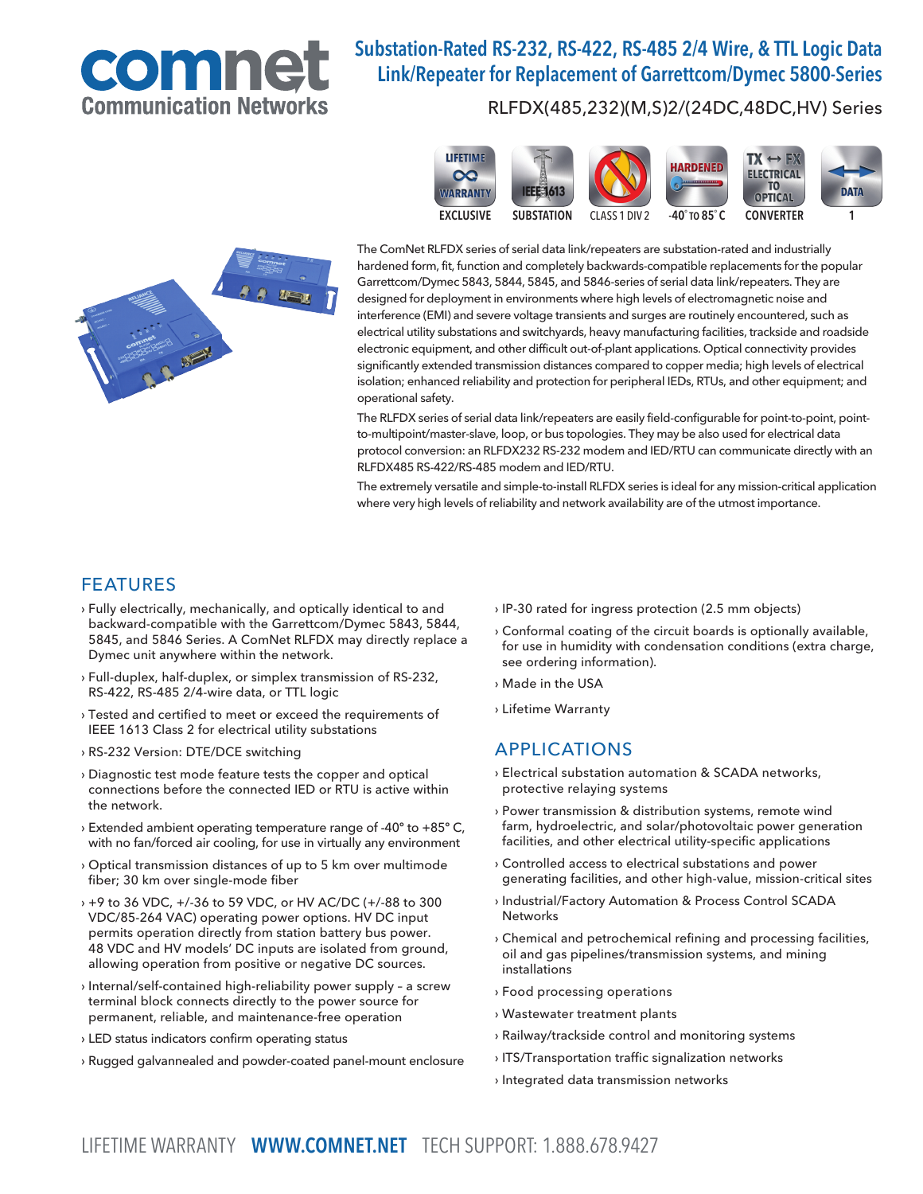

# Substation-Rated RS-232, RS-422, RS-485 2/4 Wire, & TTL Logic Data Link/Repeater for Replacement of Garrettcom/Dymec 5800-Series

#### RLFDX(485,232)(M,S)2/(24DC,48DC,HV) Series



The ComNet RLFDX series of serial data link/repeaters are substation-rated and industrially hardened form, fit, function and completely backwards-compatible replacements for the popular Garrettcom/Dymec 5843, 5844, 5845, and 5846-series of serial data link/repeaters. They are designed for deployment in environments where high levels of electromagnetic noise and interference (EMI) and severe voltage transients and surges are routinely encountered, such as electrical utility substations and switchyards, heavy manufacturing facilities, trackside and roadside electronic equipment, and other difficult out-of-plant applications. Optical connectivity provides significantly extended transmission distances compared to copper media; high levels of electrical isolation; enhanced reliability and protection for peripheral IEDs, RTUs, and other equipment; and operational safety.

The RLFDX series of serial data link/repeaters are easily field-configurable for point-to-point, pointto-multipoint/master-slave, loop, or bus topologies. They may be also used for electrical data protocol conversion: an RLFDX232 RS-232 modem and IED/RTU can communicate directly with an RLFDX485 RS-422/RS-485 modem and IED/RTU.

The extremely versatile and simple-to-install RLFDX series is ideal for any mission-critical application where very high levels of reliability and network availability are of the utmost importance.

### FEATURES

- › Fully electrically, mechanically, and optically identical to and backward-compatible with the Garrettcom/Dymec 5843, 5844, 5845, and 5846 Series. A ComNet RLFDX may directly replace a Dymec unit anywhere within the network.
- › Full-duplex, half-duplex, or simplex transmission of RS-232, RS-422, RS-485 2/4-wire data, or TTL logic
- › Tested and certified to meet or exceed the requirements of IEEE 1613 Class 2 for electrical utility substations
- › RS-232 Version: DTE/DCE switching
- › Diagnostic test mode feature tests the copper and optical connections before the connected IED or RTU is active within the network.
- › Extended ambient operating temperature range of -40º to +85º C, with no fan/forced air cooling, for use in virtually any environment
- › Optical transmission distances of up to 5 km over multimode fiber; 30 km over single-mode fiber
- › +9 to 36 VDC, +/-36 to 59 VDC, or HV AC/DC (+/-88 to 300 VDC/85-264 VAC) operating power options. HV DC input permits operation directly from station battery bus power. 48 VDC and HV models' DC inputs are isolated from ground, allowing operation from positive or negative DC sources.
- › Internal/self-contained high-reliability power supply a screw terminal block connects directly to the power source for permanent, reliable, and maintenance-free operation
- › LED status indicators confirm operating status
- › Rugged galvannealed and powder-coated panel-mount enclosure
- › IP-30 rated for ingress protection (2.5 mm objects)
- › Conformal coating of the circuit boards is optionally available, for use in humidity with condensation conditions (extra charge, see ordering information).
- › Made in the USA
- › Lifetime Warranty

### APPLICATIONS

- › Electrical substation automation & SCADA networks, protective relaying systems
- › Power transmission & distribution systems, remote wind farm, hydroelectric, and solar/photovoltaic power generation facilities, and other electrical utility-specific applications
- › Controlled access to electrical substations and power generating facilities, and other high-value, mission-critical sites
- › Industrial/Factory Automation & Process Control SCADA **Networks**
- › Chemical and petrochemical refining and processing facilities, oil and gas pipelines/transmission systems, and mining installations
- › Food processing operations
- › Wastewater treatment plants
- › Railway/trackside control and monitoring systems
- › ITS/Transportation traffic signalization networks
- › Integrated data transmission networks

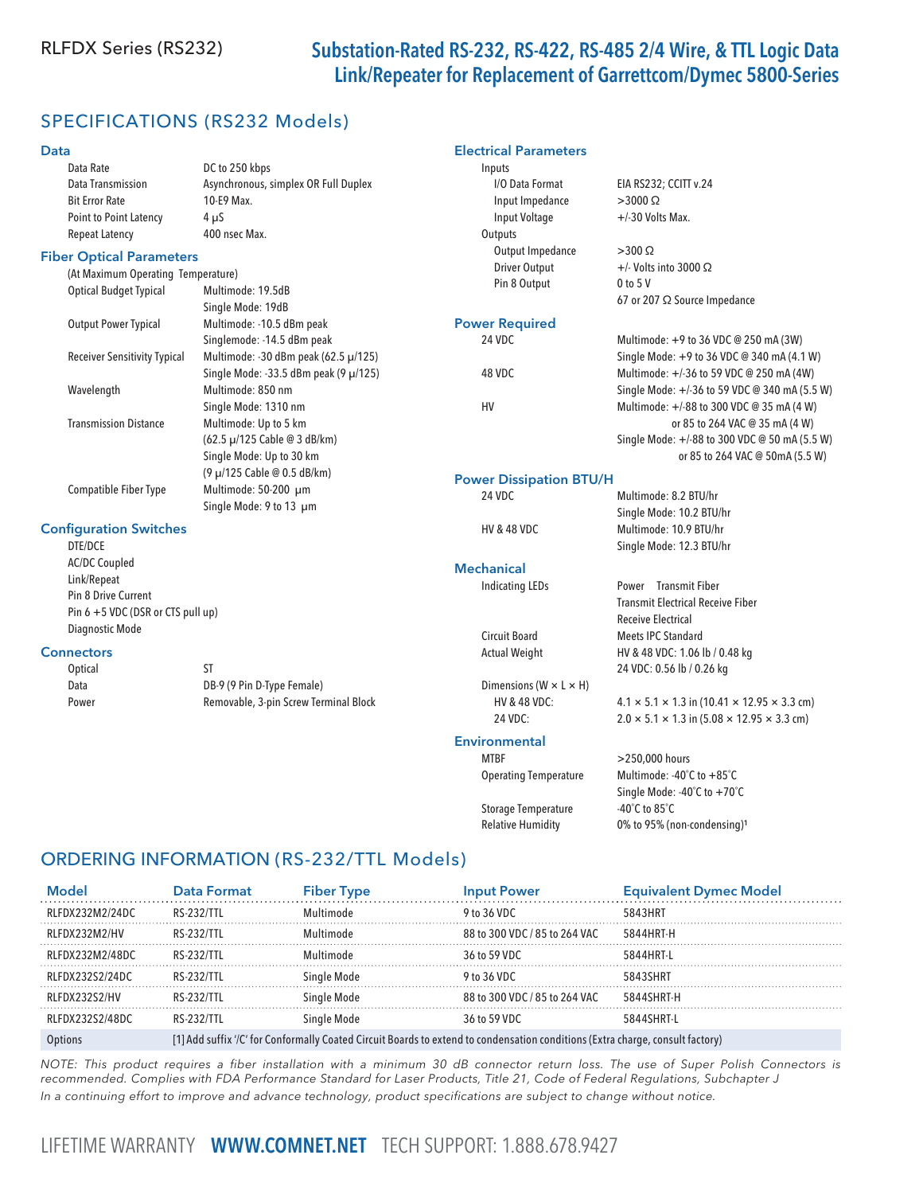# RLFDX Series (RS232) Substation-Rated RS-232, RS-422, RS-485 2/4 Wire, & TTL Logic Data Link/Repeater for Replacement of Garrettcom/Dymec 5800-Series

# SPECIFICATIONS (RS232 Models)

#### Data

| <b>Data</b>                         |                                       | <b>Electrical Parameters</b>         |                                                                       |
|-------------------------------------|---------------------------------------|--------------------------------------|-----------------------------------------------------------------------|
| Data Rate                           | DC to 250 kbps                        | Inputs                               |                                                                       |
| Data Transmission                   | Asynchronous, simplex OR Full Duplex  | I/O Data Format                      | EIA RS232; CCITT v.24                                                 |
| <b>Bit Error Rate</b>               | 10-E9 Max.                            | Input Impedance                      | $>3000 \Omega$                                                        |
| Point to Point Latency              | $4 \mu S$                             | Input Voltage                        | +/-30 Volts Max.                                                      |
| <b>Repeat Latency</b>               | 400 nsec Max.                         | Outputs                              |                                                                       |
| <b>Fiber Optical Parameters</b>     |                                       | Output Impedance                     | $>300 \Omega$                                                         |
| (At Maximum Operating Temperature)  |                                       | Driver Output                        | $+/-$ Volts into 3000 $\Omega$                                        |
| <b>Optical Budget Typical</b>       | Multimode: 19.5dB                     | Pin 8 Output                         | $0$ to $5$ V                                                          |
|                                     | Single Mode: 19dB                     |                                      | 67 or 207 Ω Source Impedance                                          |
| <b>Output Power Typical</b>         | Multimode: -10.5 dBm peak             | <b>Power Required</b>                |                                                                       |
|                                     | Singlemode: -14.5 dBm peak            | 24 VDC                               | Multimode: +9 to 36 VDC @ 250 mA (3W)                                 |
| <b>Receiver Sensitivity Typical</b> | Multimode: -30 dBm peak (62.5 µ/125)  |                                      | Single Mode: +9 to 36 VDC @ 340 mA (4.1 W)                            |
|                                     | Single Mode: -33.5 dBm peak (9 µ/125) | 48 VDC                               | Multimode: +/-36 to 59 VDC @ 250 mA (4W)                              |
| Wavelength                          | Multimode: 850 nm                     |                                      | Single Mode: +/-36 to 59 VDC @ 340 mA (5.5 W)                         |
|                                     | Single Mode: 1310 nm                  | HV                                   | Multimode: +/-88 to 300 VDC @ 35 mA (4 W)                             |
| <b>Transmission Distance</b>        | Multimode: Up to 5 km                 |                                      | or 85 to 264 VAC @ 35 mA (4 W)                                        |
|                                     | (62.5 µ/125 Cable @ 3 dB/km)          |                                      | Single Mode: +/-88 to 300 VDC @ 50 mA (5.5 W)                         |
|                                     | Single Mode: Up to 30 km              |                                      | or 85 to 264 VAC @ 50mA (5.5 W)                                       |
|                                     | (9 µ/125 Cable @ 0.5 dB/km)           |                                      |                                                                       |
| Compatible Fiber Type               | Multimode: 50-200 µm                  | <b>Power Dissipation BTU/H</b>       |                                                                       |
|                                     | Single Mode: 9 to 13 µm               | 24 VDC                               | Multimode: 8.2 BTU/hr                                                 |
|                                     |                                       |                                      | Single Mode: 10.2 BTU/hr                                              |
| <b>Configuration Switches</b>       |                                       | <b>HV &amp; 48 VDC</b>               | Multimode: 10.9 BTU/hr                                                |
| DTE/DCE                             |                                       |                                      | Single Mode: 12.3 BTU/hr                                              |
| <b>AC/DC Coupled</b>                |                                       | <b>Mechanical</b>                    |                                                                       |
| Link/Repeat                         |                                       | <b>Indicating LEDs</b>               | Power Transmit Fiber                                                  |
| Pin 8 Drive Current                 |                                       |                                      | <b>Transmit Electrical Receive Fiber</b>                              |
| Pin 6 +5 VDC (DSR or CTS pull up)   |                                       |                                      | Receive Electrical                                                    |
| Diagnostic Mode                     |                                       | <b>Circuit Board</b>                 | <b>Meets IPC Standard</b>                                             |
| <b>Connectors</b>                   |                                       | <b>Actual Weight</b>                 | HV & 48 VDC: 1.06 lb / 0.48 kg                                        |
| Optical                             | <b>ST</b>                             |                                      | 24 VDC: 0.56 lb / 0.26 kg                                             |
| Data                                | DB-9 (9 Pin D-Type Female)            | Dimensions ( $W \times L \times H$ ) |                                                                       |
| Power                               | Removable, 3-pin Screw Terminal Block | HV & 48 VDC:                         | $4.1 \times 5.1 \times 1.3$ in (10.41 $\times$ 12.95 $\times$ 3.3 cm) |
|                                     |                                       | 24 VDC:                              | $2.0 \times 5.1 \times 1.3$ in $(5.08 \times 12.95 \times 3.3$ cm)    |
|                                     |                                       | <b>Environmental</b>                 |                                                                       |
|                                     |                                       | <b>MTBF</b>                          | >250,000 hours                                                        |
|                                     |                                       |                                      |                                                                       |

Storage Temperature -40°C to 85°C Relative Humidity 0% to 95% (non-condensing)<sup>1</sup>

# Operating Temperature Multimode: -40˚C to +85˚C Single Mode: -40˚C to +70˚C

### ORDERING INFORMATION (RS-232/TTL Models)

| <b>Model</b>     | Data Format                                                                                                                    | <b>Fiber Type</b> | <b>Input Power</b>            | <b>Equivalent Dymec Model</b> |
|------------------|--------------------------------------------------------------------------------------------------------------------------------|-------------------|-------------------------------|-------------------------------|
| RLFDX232M2/24DC  | RS-232/TTL                                                                                                                     | Multimode         | 9 to 36 VDC                   | 5843HRT                       |
| RLFDX232M2/HV    | RS-232/TTL                                                                                                                     | Multimode         | 88 to 300 VDC / 85 to 264 VAC | 5844HRT-H                     |
| RLFDX232M2/48DC  | RS-232/TTL                                                                                                                     | Multimode         | 36 to 59 VDC                  | 5844HRT-I                     |
| RLFDX232S2/24DC  | RS-232/TTL                                                                                                                     | Single Mode       | 9 to 36 VDC                   | 5843SHRT                      |
| RLFDX232S2/HV    | RS-232/TTL                                                                                                                     | Single Mode       | 88 to 300 VDC / 85 to 264 VAC | 5844SHRT-H                    |
| RI FDX23252/48DC | RS-232/TTL                                                                                                                     | Single Mode       | 36 to 59 VDC                  | 5844SHRT-L                    |
| Options          | [1] Add suffix '/C' for Conformally Coated Circuit Boards to extend to condensation conditions (Extra charge, consult factory) |                   |                               |                               |

NOTE: This product requires a fiber installation with a minimum 30 dB connector return loss. The use of Super Polish Connectors is recommended. Complies with FDA Performance Standard for Laser Products, Title 21, Code of Federal Regulations, Subchapter J In a continuing effort to improve and advance technology, product specifications are subject to change without notice.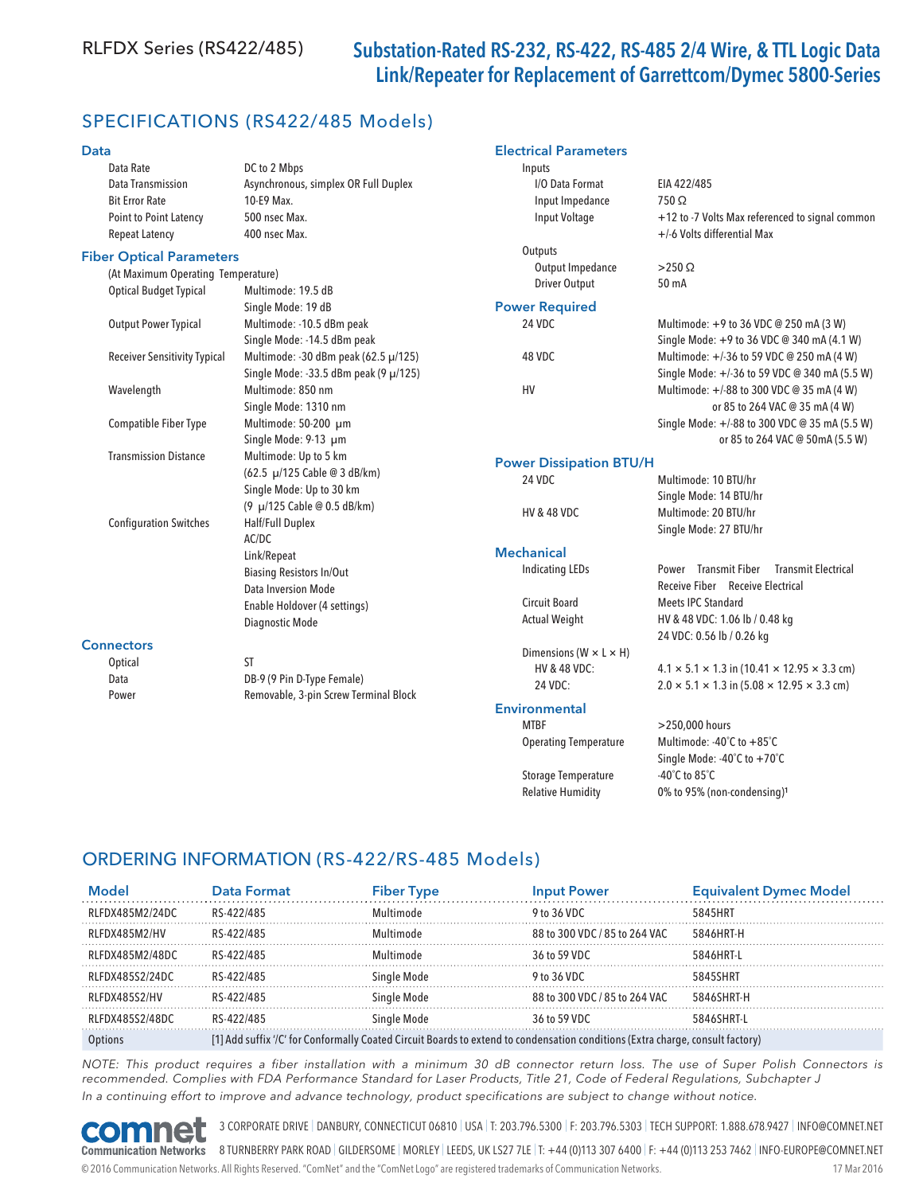# RLFDX Series (RS422/485) Substation-Rated RS-232, RS-422, RS-485 2/4 Wire, & TTL Logic Data Link/Repeater for Replacement of Garrettcom/Dymec 5800-Series

 I/O Data Format EIA 422/485 Input Impedance 750 Ω

Electrical Parameters

Inputs

**Outputs** 

## SPECIFICATIONS (RS422/485 Models)

#### Data

| Data Rate                     | DC to 2 Mbps                         |
|-------------------------------|--------------------------------------|
| Data Transmission             | Asynchronous, simplex OR Full Duplex |
| <b>Bit Error Rate</b>         | 10-E9 Max.                           |
| <b>Point to Point Latency</b> | 500 nsec Max.                        |
| Repeat Latency                | 400 nsec Max.                        |

#### Fiber Optical Parameters

|                               | (At Maximum Operating Temperature)  |                                       | <b>UULDUL IIIIDEUAIILE</b>           |  |
|-------------------------------|-------------------------------------|---------------------------------------|--------------------------------------|--|
| <b>Optical Budget Typical</b> |                                     | Multimode: 19.5 dB                    | <b>Driver Output</b>                 |  |
|                               |                                     | Single Mode: 19 dB                    | <b>Power Required</b>                |  |
|                               | <b>Output Power Typical</b>         | Multimode: - 10.5 dBm peak            | 24 VDC                               |  |
|                               |                                     | Single Mode: -14.5 dBm peak           |                                      |  |
|                               | <b>Receiver Sensitivity Typical</b> | Multimode: -30 dBm peak (62.5 µ/125)  | 48 VDC                               |  |
|                               |                                     | Single Mode: -33.5 dBm peak (9 µ/125) |                                      |  |
|                               | Wavelength                          | Multimode: 850 nm                     | HV                                   |  |
|                               |                                     | Single Mode: 1310 nm                  |                                      |  |
|                               | <b>Compatible Fiber Type</b>        | Multimode: 50-200 µm                  |                                      |  |
|                               |                                     | Single Mode: 9-13 µm                  |                                      |  |
|                               | <b>Transmission Distance</b>        | Multimode: Up to 5 km                 | <b>Power Dissipation BTU/H</b>       |  |
|                               |                                     | (62.5 µ/125 Cable @ 3 dB/km)          | 24 VDC                               |  |
|                               |                                     | Single Mode: Up to 30 km              |                                      |  |
|                               |                                     | (9 µ/125 Cable @ 0.5 dB/km)           | <b>HV &amp; 48 VDC</b>               |  |
|                               | <b>Configuration Switches</b>       | Half/Full Duplex                      |                                      |  |
|                               |                                     | AC/DC                                 |                                      |  |
|                               |                                     | Link/Repeat                           | <b>Mechanical</b>                    |  |
|                               |                                     | <b>Biasing Resistors In/Out</b>       | <b>Indicating LEDs</b>               |  |
|                               |                                     | Data Inversion Mode                   |                                      |  |
|                               |                                     | Enable Holdover (4 settings)          | Circuit Board                        |  |
|                               |                                     | Diagnostic Mode                       | <b>Actual Weight</b>                 |  |
|                               | <b>Connectors</b>                   |                                       | Dimensions ( $W \times L \times H$ ) |  |
|                               | Optical                             | <b>ST</b>                             | <b>HV &amp; 48 VDC:</b><br>24 VDC:   |  |
|                               | Data                                | DB-9 (9 Pin D-Type Female)            |                                      |  |
|                               | Power                               | Removable, 3-pin Screw Terminal Block |                                      |  |

#### **Environmental**

| <b>MTRF</b>                  |
|------------------------------|
| <b>Operating Temperature</b> |
|                              |
| <b>Storage Temperature</b>   |
| <b>Relative Humidity</b>     |
|                              |

+/-6 Volts differential Max Output Impedance >250 Ω Output 50 mA Multimode: +9 to 36 VDC @ 250 mA (3 W) Single Mode: +9 to 36 VDC @ 340 mA (4.1 W) Multimode: +/-36 to 59 VDC @ 250 mA (4 W) Single Mode: +/-36 to 59 VDC @ 340 mA (5.5 W) Multimode: +/-88 to 300 VDC @ 35 mA (4 W) or 85 to 264 VAC @ 35 mA (4 W) Single Mode: +/-88 to 300 VDC @ 35 mA (5.5 W) or 85 to 264 VAC @ 50mA (5.5 W)

Multimode: 10 BTU/hr Single Mode: 14 BTU/hr DC Multimode: 20 BTU/hr Single Mode: 27 BTU/hr

Input Voltage  $+12$  to -7 Volts Max referenced to signal common

LEDs Power Transmit Fiber Transmit Electrical Receive Fiber Receive Electrical ard **Meets IPC Standard** ight HV & 48 VDC: 1.06 lb / 0.48 kg 24 VDC: 0.56 lb / 0.26 kg

 $B \text{ VDC:}$  4.1 × 5.1 × 1.3 in (10.41 × 12.95 × 3.3 cm)  $2.0 \times 5.1 \times 1.3$  in (5.08  $\times$  12.95  $\times$  3.3 cm)

#### $>$  250.000 hours Multimode: -40℃ to +85℃ Single Mode: -40˚C to +70˚C -40 $^{\circ}$ C to 85 $^{\circ}$ C 0% to 95% (non-condensing)<sup>1</sup>

### ORDERING INFORMATION (RS-422/RS-485 Models)

| Model           | Data Format                                                                                                                    | <b>Fiber Type</b> | <b>Input Power</b>            | <b>Equivalent Dymec Model</b> |
|-----------------|--------------------------------------------------------------------------------------------------------------------------------|-------------------|-------------------------------|-------------------------------|
| RLFDX485M2/24DC | RS-422/485                                                                                                                     | Multimode         | 9 to 36 VDC                   | 5845HRT                       |
| RLFDX485M2/HV   | RS-422/485                                                                                                                     | Multimode         | 88 to 300 VDC / 85 to 264 VAC | 5846HRT-H                     |
| RLFDX485M2/48DC | RS-422/485                                                                                                                     | Multimode         | 36 to 59 VDC                  | 5846HRT-I                     |
| RLFDX485S2/24DC | RS-422/485                                                                                                                     | Single Mode       | 9 to 36 VDC                   | 5845SHRT                      |
| RLFDX485S2/HV   | RS-422/485                                                                                                                     | Single Mode       | 88 to 300 VDC / 85 to 264 VAC | 5846SHRT-H                    |
| RLFDX485S2/48DC | RS-422/485                                                                                                                     | Single Mode       | 36 to 59 VDC                  | 5846SHRT-I                    |
|                 | [1] Add suffix '/C' for Conformally Coated Circuit Boards to extend to condensation conditions (Extra charge, consult factory) |                   |                               |                               |

NOTE: This product requires a fiber installation with a minimum 30 dB connector return loss. The use of Super Polish Connectors is recommended. Complies with FDA Performance Standard for Laser Products, Title 21, Code of Federal Regulations, Subchapter J In a continuing effort to improve and advance technology, product specifications are subject to change without notice.



3 CORPORATE DRIVE | DANBURY, CONNECTICUT 06810 | USA | T: 203.796.5300 | F: 203.796.5303 | TECH SUPPORT: 1.888.678.9427 | INFO@COMNET.NET

**Communication Networks** 8 TURNBERRY PARK ROAD | GILDERSOME | MORLEY | LEEDS, UK LS27 7LE | T: +44 (0)113 307 6400 | F: +44 (0)113 253 7462 | INFO-EUROPE@COMNET.NET © 2016 Communication Networks. All Rights Reserved. "ComNet" and the "ComNet Logo" are registered trademarks of Communication Networks. 17 Mar 2016